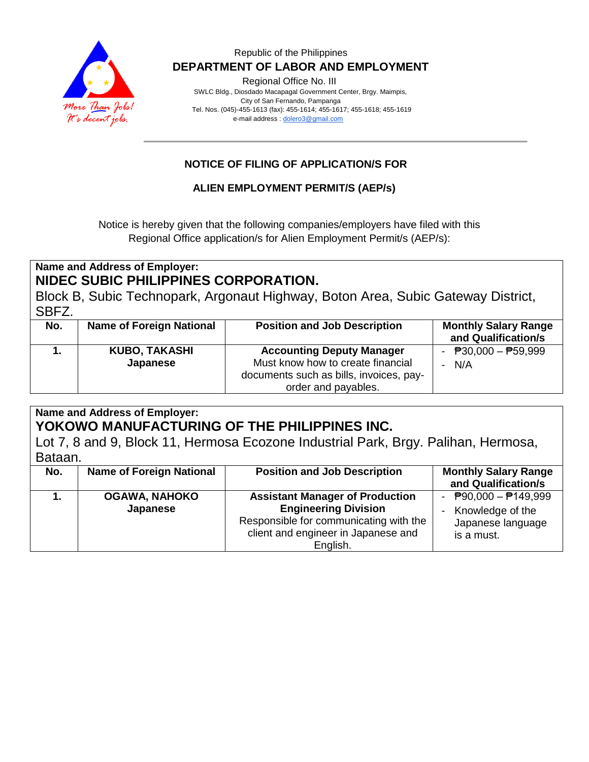

#### Republic of the Philippines  **DEPARTMENT OF LABOR AND EMPLOYMENT**

Regional Office No. III

 SWLC Bldg., Diosdado Macapagal Government Center, Brgy. Maimpis, City of San Fernando, Pampanga Tel. Nos. (045)-455-1613 (fax): 455-1614; 455-1617; 455-1618; 455-1619 e-mail address [: dolero3@gmail.com](mailto:dolero3@gmail.com)

### **NOTICE OF FILING OF APPLICATION/S FOR**

#### **ALIEN EMPLOYMENT PERMIT/S (AEP/s)**

Notice is hereby given that the following companies/employers have filed with this Regional Office application/s for Alien Employment Permit/s (AEP/s):

### **Name and Address of Employer: NIDEC SUBIC PHILIPPINES CORPORATION.**

Block B, Subic Technopark, Argonaut Highway, Boton Area, Subic Gateway District, SBFZ.

| No. | <b>Name of Foreign National</b>  | <b>Position and Job Description</b>                                                                                                     | <b>Monthly Salary Range</b><br>and Qualification/s |
|-----|----------------------------------|-----------------------------------------------------------------------------------------------------------------------------------------|----------------------------------------------------|
|     | <b>KUBO, TAKASHI</b><br>Japanese | <b>Accounting Deputy Manager</b><br>Must know how to create financial<br>documents such as bills, invoices, pay-<br>order and payables. | - $P30,000 - P59,999$<br>N/A                       |

**Name and Address of Employer: YOKOWO MANUFACTURING OF THE PHILIPPINES INC.**

Lot 7, 8 and 9, Block 11, Hermosa Ecozone Industrial Park, Brgy. Palihan, Hermosa, Bataan.

| No. | <b>Name of Foreign National</b>  | <b>Position and Job Description</b>                                                                                                                                | <b>Monthly Salary Range</b><br>and Qualification/s                                                    |
|-----|----------------------------------|--------------------------------------------------------------------------------------------------------------------------------------------------------------------|-------------------------------------------------------------------------------------------------------|
|     | <b>OGAWA, NAHOKO</b><br>Japanese | <b>Assistant Manager of Production</b><br><b>Engineering Division</b><br>Responsible for communicating with the<br>client and engineer in Japanese and<br>English. | - $\overline{P}90,000 - \overline{P}149,999$<br>- Knowledge of the<br>Japanese language<br>is a must. |